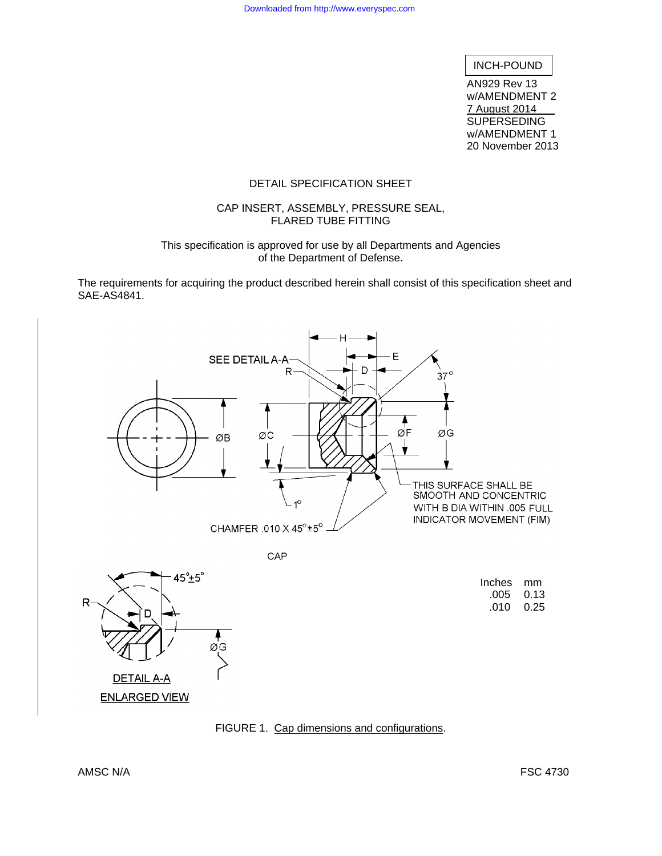# INCH-POUND

AN929 Rev 13 w/AMENDMENT 2 7 August 2014 **SUPERSEDING** w/AMENDMENT 1 20 November 2013

#### DETAIL SPECIFICATION SHEET

#### CAP INSERT, ASSEMBLY, PRESSURE SEAL, FLARED TUBE FITTING

#### This specification is approved for use by all Departments and Agencies of the Department of Defense.

The requirements for acquiring the product described herein shall consist of this specification sheet and SAE-AS4841.



FIGURE 1. Cap dimensions and configurations.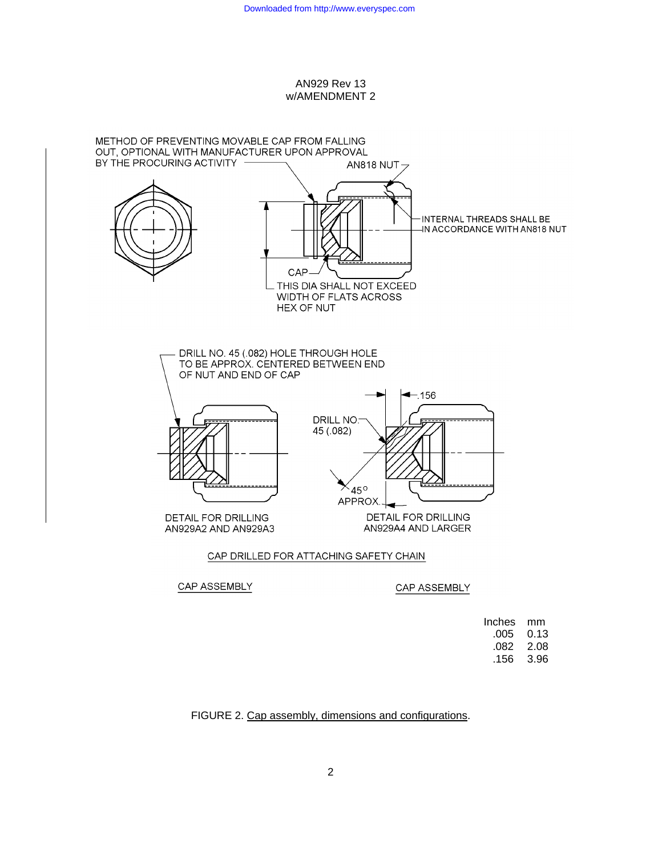

#### CAP ASSEMBLY

#### CAP ASSEMBLY

| mm   |
|------|
| 0.13 |
| 2.08 |
| 3.96 |
|      |

# FIGURE 2. Cap assembly, dimensions and configurations.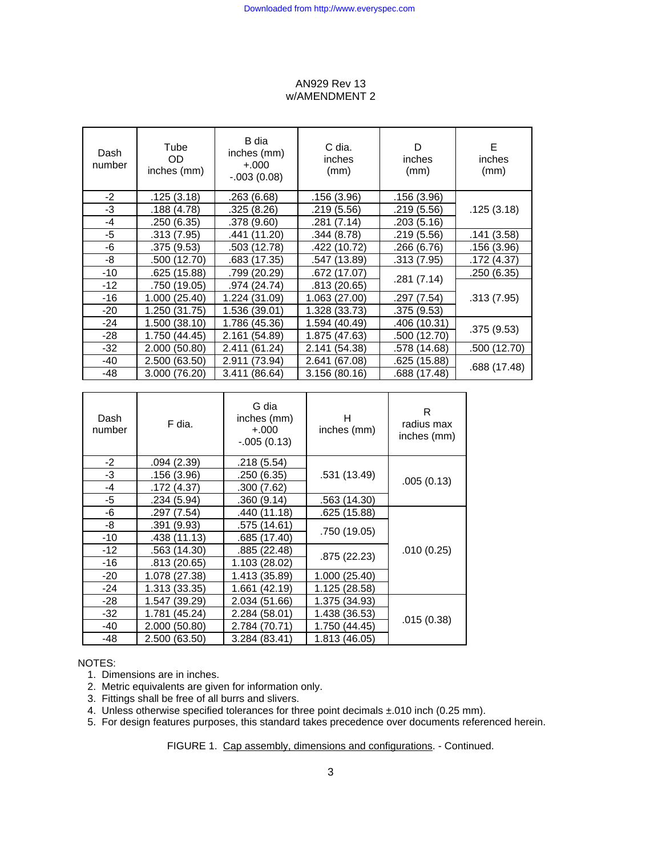| Dash<br>number | Tube<br>OD.<br>inches (mm) | B dia<br>inches (mm)<br>$+.000 +$<br>$-0.003(0.08)$ | C dia.<br>inches<br>(mm) | D<br>inches<br>(mm) | E<br>inches<br>(mm) |
|----------------|----------------------------|-----------------------------------------------------|--------------------------|---------------------|---------------------|
| $-2$           | .125(3.18)                 | .263 (6.68)                                         | .156 (3.96)              | .156 (3.96)         |                     |
| -3             | .188 (4.78)                | .325 (8.26)                                         | .219 (5.56)              | .219 (5.56)         | .125(3.18)          |
| $-4$           | .250(6.35)                 | .378 (9.60)                                         | .281 (7.14)              | .203 (5.16)         |                     |
| -5             | .313 (7.95)                | .441 (11.20)                                        | .344 (8.78)              | .219 (5.56)         | .141(3.58)          |
| -6             | .375(9.53)                 | .503 (12.78)                                        | .422 (10.72)             | .266 (6.76)         | .156 (3.96)         |
| -8             | .500 (12.70)               | .683 (17.35)                                        | .547 (13.89)             | .313 (7.95)         | .172 (4.37)         |
| $-10$          | .625 (15.88)               | .799 (20.29)                                        | .672 (17.07)             | .281(7.14)          | .250 (6.35)         |
| $-12$          | .750 (19.05)               | .974 (24.74)                                        | .813 (20.65)             |                     |                     |
| -16            | 1.000 (25.40)              | 1.224 (31.09)                                       | 1.063 (27.00)            | .297(7.54)          | .313(7.95)          |
| $-20$          | 1.250 (31.75)              | 1.536 (39.01)                                       | 1.328 (33.73)            | .375 (9.53)         |                     |
| $-24$          | 1.500 (38.10)              | 1.786 (45.36)                                       | 1.594 (40.49)            | .406 (10.31)        |                     |
| $-28$          | 1.750 (44.45)              | 2.161(54.89)                                        | 1.875 (47.63)            | .500 (12.70)        | .375 (9.53)         |
| -32            | 2.000 (50.80)              | 2.411 (61.24)                                       | 2.141 (54.38)            | .578 (14.68)        | .500 (12.70)        |
| -40            | 2.500 (63.50)              | 2.911 (73.94)                                       | 2.641 (67.08)            | .625 (15.88)        |                     |
| -48            | 3.000 (76.20)              | 3.411 (86.64)                                       | 3.156(80.16)             | .688 (17.48)        | .688 (17.48)        |

| Dash<br>number | F dia.        | G dia<br>inches (mm)<br>$+.000$<br>$-.005(0.13)$ | н<br>inches (mm) | R<br>radius max<br>inches (mm) |
|----------------|---------------|--------------------------------------------------|------------------|--------------------------------|
| $-2$           | .094(2.39)    | .218 (5.54)                                      |                  |                                |
| $-3$           | .156 (3.96)   | .250 (6.35)                                      | .531 (13.49)     |                                |
| -4             | .172 (4.37)   | .300(7.62)                                       |                  | .005(0.13)                     |
| $-5$           | .234 (5.94)   | .360(9.14)                                       | .563 (14.30)     |                                |
| -6             | .297 (7.54)   | .440 (11.18)                                     | .625 (15.88)     |                                |
| -8             | .391 (9.93)   | .575 (14.61)                                     | .750 (19.05)     |                                |
| $-10$          | .438 (11.13)  | .685 (17.40)                                     |                  |                                |
| $-12$          | .563 (14.30)  | .885 (22.48)                                     | .875 (22.23)     | .010(0.25)                     |
| $-16$          | .813 (20.65)  | 1.103 (28.02)                                    |                  |                                |
| $-20$          | 1.078 (27.38) | 1.413 (35.89)                                    | 1.000(25.40)     |                                |
| $-24$          | 1.313 (33.35) | 1.661 (42.19)                                    | 1.125 (28.58)    |                                |
| $-28$          | 1.547 (39.29) | 2.034 (51.66)                                    | 1.375 (34.93)    |                                |
| $-32$          | 1.781 (45.24) | 2.284 (58.01)                                    | 1.438 (36.53)    |                                |
| $-40$          | 2.000 (50.80) | 2.784 (70.71)                                    | 1.750 (44.45)    | .015(0.38)                     |
| -48            | 2.500 (63.50) | 3.284 (83.41)                                    | 1.813 (46.05)    |                                |

## NOTES:

- 1. Dimensions are in inches.
- 2. Metric equivalents are given for information only.
- 3. Fittings shall be free of all burrs and slivers.
- 4. Unless otherwise specified tolerances for three point decimals ±.010 inch (0.25 mm).
- 5. For design features purposes, this standard takes precedence over documents referenced herein.

FIGURE 1. Cap assembly, dimensions and configurations. - Continued.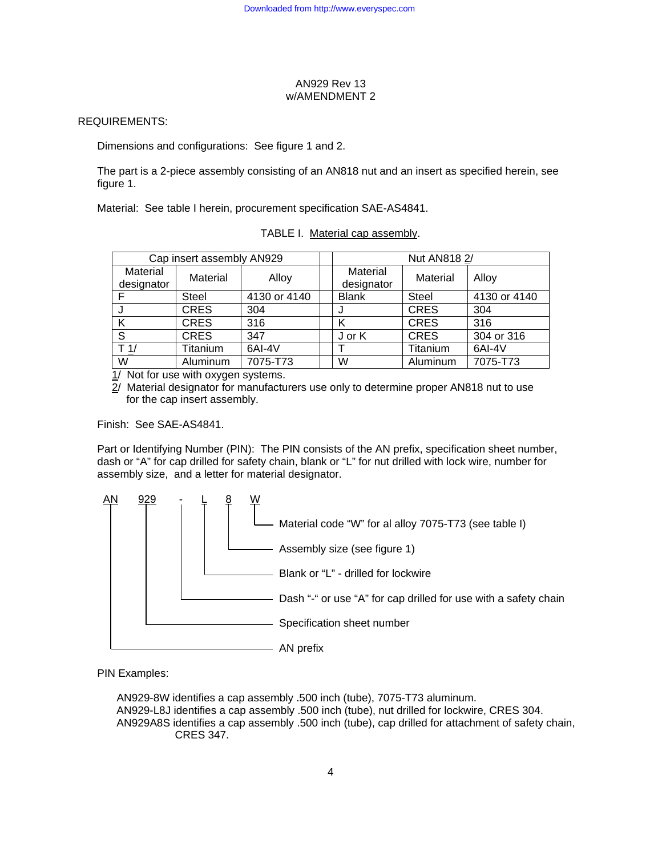## REQUIREMENTS:

Dimensions and configurations: See figure 1 and 2.

The part is a 2-piece assembly consisting of an AN818 nut and an insert as specified herein, see figure 1.

Material: See table I herein, procurement specification SAE-AS4841.

| Cap insert assembly AN929 |              |              |                        | Nut AN818 2/ |              |
|---------------------------|--------------|--------------|------------------------|--------------|--------------|
| Material<br>designator    | Material     | Alloy        | Material<br>designator | Material     | Alloy        |
|                           | <b>Steel</b> | 4130 or 4140 | <b>Blank</b>           | Steel        | 4130 or 4140 |
|                           | <b>CRES</b>  | 304          |                        | <b>CRES</b>  | 304          |
|                           | <b>CRES</b>  | 316          | κ                      | <b>CRES</b>  | 316          |
| S                         | <b>CRES</b>  | 347          | J or K                 | <b>CRES</b>  | 304 or 316   |
| $T_1/$                    | Titanium     | 6AI-4V       |                        | Titanium     | 6AI-4V       |
| W                         | Aluminum     | 7075-T73     | W                      | Aluminum     | 7075-T73     |

|  | TABLE I. Material cap assembly. |
|--|---------------------------------|
|  |                                 |

1/ Not for use with oxygen systems.

 $2$ / Material designator for manufacturers use only to determine proper AN818 nut to use for the cap insert assembly.

Finish: See SAE-AS4841.

Part or Identifying Number (PIN): The PIN consists of the AN prefix, specification sheet number, dash or "A" for cap drilled for safety chain, blank or "L" for nut drilled with lock wire, number for assembly size, and a letter for material designator.



PIN Examples:

AN929-8W identifies a cap assembly .500 inch (tube), 7075-T73 aluminum. AN929-L8J identifies a cap assembly .500 inch (tube), nut drilled for lockwire, CRES 304. AN929A8S identifies a cap assembly .500 inch (tube), cap drilled for attachment of safety chain, CRES 347.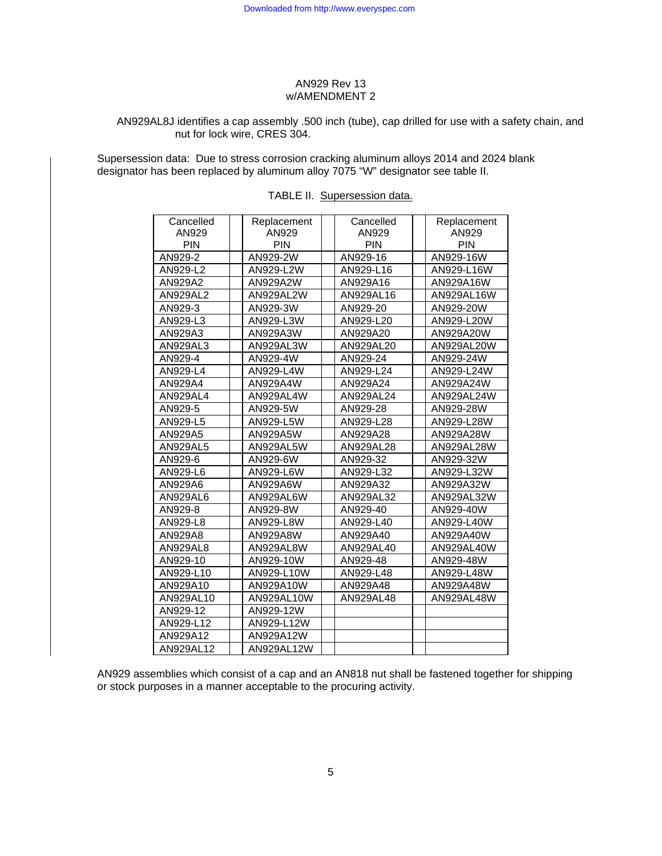## AN929AL8J identifies a cap assembly .500 inch (tube), cap drilled for use with a safety chain, and nut for lock wire, CRES 304.

Supersession data: Due to stress corrosion cracking aluminum alloys 2014 and 2024 blank designator has been replaced by aluminum alloy 7075 "W" designator see table II.

| Cancelled       | Replacement | Cancelled  | Replacement |
|-----------------|-------------|------------|-------------|
| AN929           | AN929       | AN929      | AN929       |
| <b>PIN</b>      | <b>PIN</b>  | <b>PIN</b> | <b>PIN</b>  |
| AN929-2         | AN929-2W    | AN929-16   | AN929-16W   |
| AN929-L2        | AN929-L2W   | AN929-L16  | AN929-L16W  |
| AN929A2         | AN929A2W    | AN929A16   | AN929A16W   |
| AN929AL2        | AN929AL2W   | AN929AL16  | AN929AL16W  |
| AN929-3         | AN929-3W    | AN929-20   | AN929-20W   |
| AN929-L3        | AN929-L3W   | AN929-L20  | AN929-L20W  |
| AN929A3         | AN929A3W    | AN929A20   | AN929A20W   |
| AN929AL3        | AN929AL3W   | AN929AL20  | AN929AL20W  |
| AN929-4         | AN929-4W    | AN929-24   | AN929-24W   |
| AN929-L4        | AN929-L4W   | AN929-L24  | AN929-L24W  |
| AN929A4         | AN929A4W    | AN929A24   | AN929A24W   |
| <b>AN929AL4</b> | AN929AL4W   | AN929AL24  | AN929AL24W  |
| AN929-5         | AN929-5W    | AN929-28   | AN929-28W   |
| AN929-L5        | AN929-L5W   | AN929-L28  | AN929-L28W  |
| AN929A5         | AN929A5W    | AN929A28   | AN929A28W   |
| <b>AN929AL5</b> | AN929AL5W   | AN929AL28  | AN929AL28W  |
| AN929-6         | AN929-6W    | AN929-32   | AN929-32W   |
| AN929-L6        | AN929-L6W   | AN929-L32  | AN929-L32W  |
| AN929A6         | AN929A6W    | AN929A32   | AN929A32W   |
| AN929AL6        | AN929AL6W   | AN929AL32  | AN929AL32W  |
| AN929-8         | AN929-8W    | AN929-40   | AN929-40W   |
| AN929-L8        | AN929-L8W   | AN929-L40  | AN929-L40W  |
| AN929A8         | AN929A8W    | AN929A40   | AN929A40W   |
| <b>AN929AL8</b> | AN929AL8W   | AN929AL40  | AN929AL40W  |
| AN929-10        | AN929-10W   | AN929-48   | AN929-48W   |
| AN929-L10       | AN929-L10W  | AN929-L48  | AN929-L48W  |
| AN929A10        | AN929A10W   | AN929A48   | AN929A48W   |
| AN929AL10       | AN929AL10W  | AN929AL48  | AN929AL48W  |
| AN929-12        | AN929-12W   |            |             |
| AN929-L12       | AN929-L12W  |            |             |
| AN929A12        | AN929A12W   |            |             |
| AN929AL12       | AN929AL12W  |            |             |

AN929 assemblies which consist of a cap and an AN818 nut shall be fastened together for shipping or stock purposes in a manner acceptable to the procuring activity.